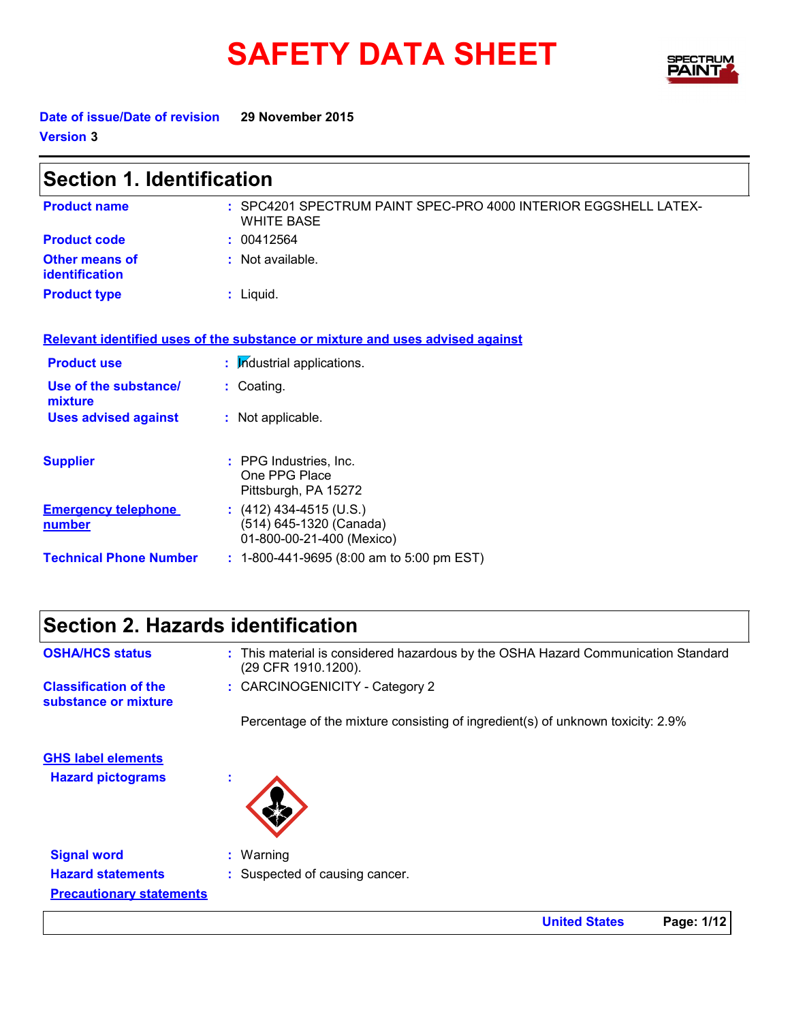# **SAFETY DATA SHEET**



**United States Page: 1/12**

**Date of issue/Date of revision 29 November 2015 Version 3**

 $\mathbf{r}$ 

| <b>Section 1. Identification</b>            |                                                                                      |  |  |  |
|---------------------------------------------|--------------------------------------------------------------------------------------|--|--|--|
| <b>Product name</b>                         | : SPC4201 SPECTRUM PAINT SPEC-PRO 4000 INTERIOR EGGSHELL LATEX-<br><b>WHITE BASE</b> |  |  |  |
| <b>Product code</b>                         | : 00412564                                                                           |  |  |  |
| <b>Other means of</b><br>identification     | $:$ Not available.                                                                   |  |  |  |
| <b>Product type</b>                         | $:$ Liquid.                                                                          |  |  |  |
|                                             | Relevant identified uses of the substance or mixture and uses advised against        |  |  |  |
| <b>Product use</b>                          | : Industrial applications.                                                           |  |  |  |
| Use of the substance/<br>mixture            | : Coating.                                                                           |  |  |  |
| <b>Uses advised against</b>                 | : Not applicable.                                                                    |  |  |  |
| <b>Supplier</b>                             | : PPG Industries, Inc.<br>One PPG Place<br>Pittsburgh, PA 15272                      |  |  |  |
| <b>Emergency telephone</b><br><u>number</u> | $(412)$ 434-4515 (U.S.)<br>(514) 645-1320 (Canada)<br>01-800-00-21-400 (Mexico)      |  |  |  |
| <b>Technical Phone Number</b>               | $: 1-800-441-9695$ (8:00 am to 5:00 pm EST)                                          |  |  |  |

## **Section 2. Hazards identification**

| <b>OSHA/HCS status</b>                               | : This material is considered hazardous by the OSHA Hazard Communication Standard<br>(29 CFR 1910.1200). |
|------------------------------------------------------|----------------------------------------------------------------------------------------------------------|
| <b>Classification of the</b><br>substance or mixture | : CARCINOGENICITY - Category 2                                                                           |
|                                                      | Percentage of the mixture consisting of ingredient(s) of unknown toxicity: 2.9%                          |
| <b>GHS label elements</b>                            |                                                                                                          |
| <b>Hazard pictograms</b>                             | $\mathbf{r}$                                                                                             |
|                                                      |                                                                                                          |
| <b>Signal word</b>                                   | $:$ Warning                                                                                              |
| <b>Hazard statements</b>                             | : Suspected of causing cancer.                                                                           |
| <b>Precautionary statements</b>                      |                                                                                                          |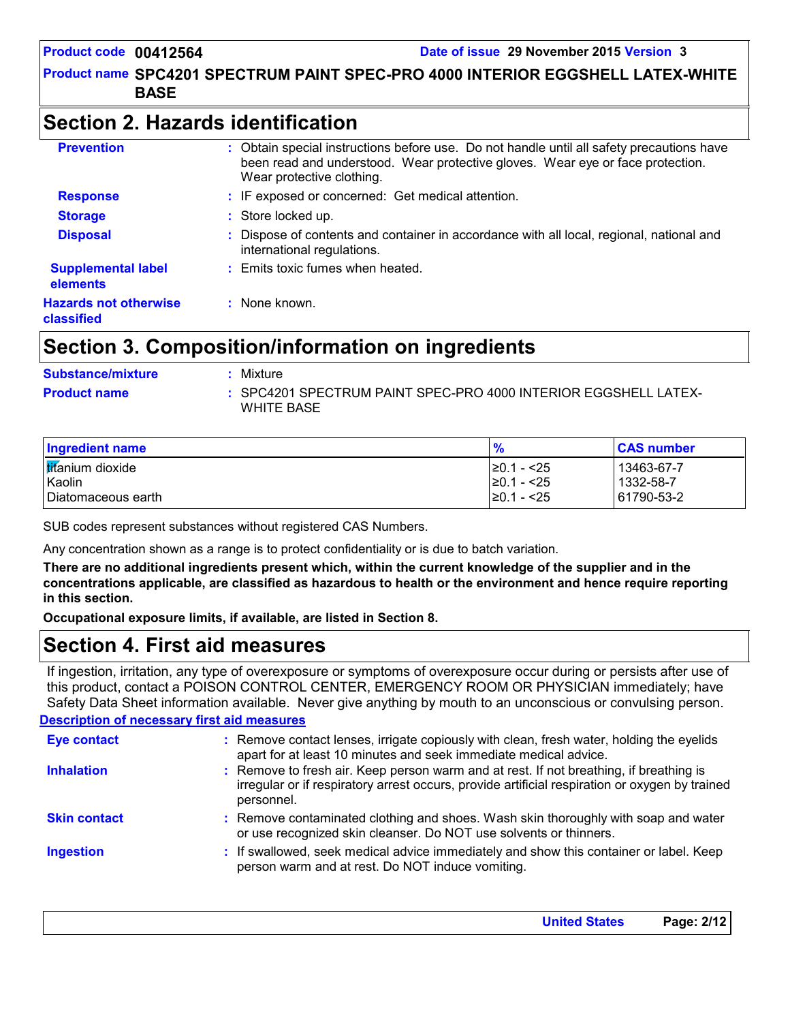## Product name SPC4201 SPECTRUM PAINT SPEC-PRO 4000 INTERIOR EGGSHELL LATEX-WHITE | **BASE**

## **Section 2. Hazards identification**

| <b>Prevention</b>                          | : Obtain special instructions before use. Do not handle until all safety precautions have<br>been read and understood. Wear protective gloves. Wear eye or face protection.<br>Wear protective clothing. |
|--------------------------------------------|----------------------------------------------------------------------------------------------------------------------------------------------------------------------------------------------------------|
| <b>Response</b>                            | : IF exposed or concerned: Get medical attention.                                                                                                                                                        |
| <b>Storage</b>                             | : Store locked up.                                                                                                                                                                                       |
| <b>Disposal</b>                            | Dispose of contents and container in accordance with all local, regional, national and<br>international regulations.                                                                                     |
| <b>Supplemental label</b><br>elements      | : Emits toxic fumes when heated.                                                                                                                                                                         |
| <b>Hazards not otherwise</b><br>classified | : None known.                                                                                                                                                                                            |

## **Section 3. Composition/information on ingredients**

| <b>Substance/mixture</b> | : Mixture                                                                     |
|--------------------------|-------------------------------------------------------------------------------|
| <b>Product name</b>      | : SPC4201 SPECTRUM PAINT SPEC-PRO 4000 INTERIOR EGGSHELL LATEX-<br>WHITE BASE |

| <b>Ingredient name</b>            | $\frac{9}{6}$                       | <b>CAS number</b>       |
|-----------------------------------|-------------------------------------|-------------------------|
| <b>tifanium</b> dioxide<br>Kaolin | $\geq$ 0.1 - <25<br>$\geq 0.1 - 25$ | 13463-67-7<br>1332-58-7 |
| I Diatomaceous earth              | $\geq$ 0.1 - <25                    | 61790-53-2              |

SUB codes represent substances without registered CAS Numbers.

Any concentration shown as a range is to protect confidentiality or is due to batch variation.

**There are no additional ingredients present which, within the current knowledge of the supplier and in the concentrations applicable, are classified as hazardous to health or the environment and hence require reporting in this section.**

**Occupational exposure limits, if available, are listed in Section 8.**

## **Section 4. First aid measures**

If ingestion, irritation, any type of overexposure or symptoms of overexposure occur during or persists after use of this product, contact a POISON CONTROL CENTER, EMERGENCY ROOM OR PHYSICIAN immediately; have Safety Data Sheet information available. Never give anything by mouth to an unconscious or convulsing person.

#### **Description of necessary first aid measures**

| <b>Eye contact</b>  | : Remove contact lenses, irrigate copiously with clean, fresh water, holding the eyelids<br>apart for at least 10 minutes and seek immediate medical advice.                                           |
|---------------------|--------------------------------------------------------------------------------------------------------------------------------------------------------------------------------------------------------|
| <b>Inhalation</b>   | : Remove to fresh air. Keep person warm and at rest. If not breathing, if breathing is<br>irregular or if respiratory arrest occurs, provide artificial respiration or oxygen by trained<br>personnel. |
| <b>Skin contact</b> | : Remove contaminated clothing and shoes. Wash skin thoroughly with soap and water<br>or use recognized skin cleanser. Do NOT use solvents or thinners.                                                |
| <b>Ingestion</b>    | : If swallowed, seek medical advice immediately and show this container or label. Keep<br>person warm and at rest. Do NOT induce vomiting.                                                             |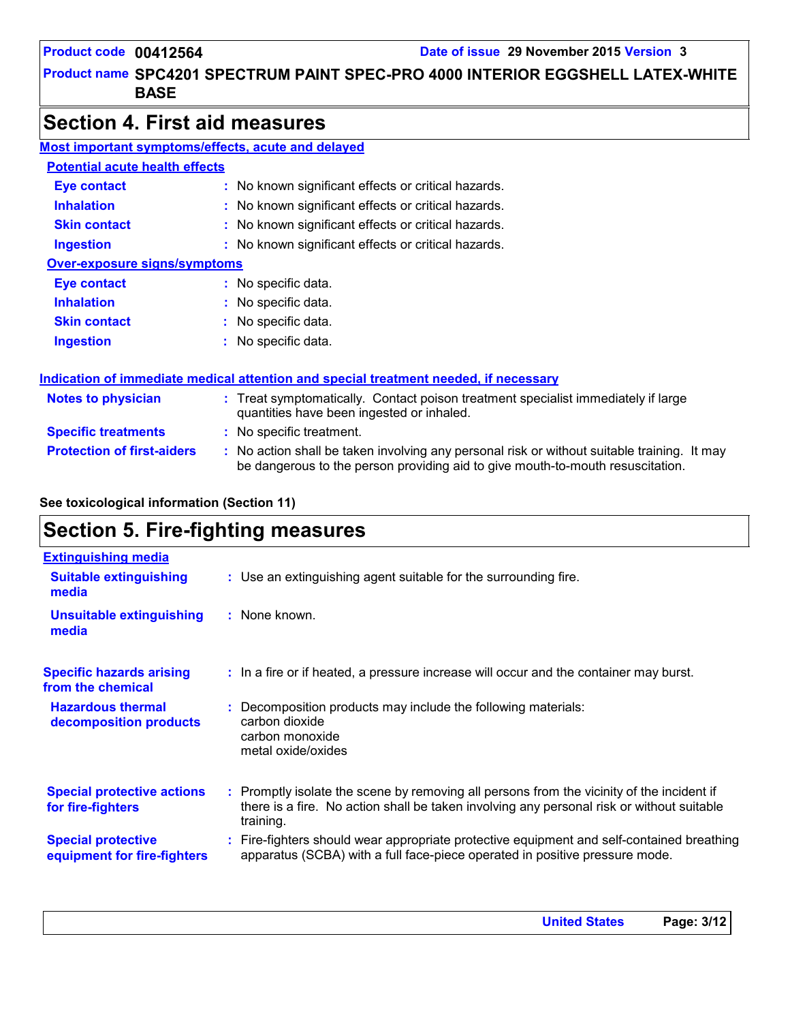**United States Page: 3/12**

## Product name SPC4201 SPECTRUM PAINT SPEC-PRO 4000 INTERIOR EGGSHELL LATEX-WHITE | **BASE**

## **Section 4. First aid measures**

| <b>Most important symptoms/effects, acute and delayed</b> |                                                                                                                                                                               |  |  |
|-----------------------------------------------------------|-------------------------------------------------------------------------------------------------------------------------------------------------------------------------------|--|--|
| <b>Potential acute health effects</b>                     |                                                                                                                                                                               |  |  |
| <b>Eye contact</b>                                        | : No known significant effects or critical hazards.                                                                                                                           |  |  |
| <b>Inhalation</b>                                         | : No known significant effects or critical hazards.                                                                                                                           |  |  |
| <b>Skin contact</b>                                       | : No known significant effects or critical hazards.                                                                                                                           |  |  |
| <b>Ingestion</b>                                          | : No known significant effects or critical hazards.                                                                                                                           |  |  |
| <b>Over-exposure signs/symptoms</b>                       |                                                                                                                                                                               |  |  |
| Eye contact                                               | : No specific data.                                                                                                                                                           |  |  |
| <b>Inhalation</b>                                         | : No specific data.                                                                                                                                                           |  |  |
| <b>Skin contact</b>                                       | : No specific data.                                                                                                                                                           |  |  |
| <b>Ingestion</b>                                          | : No specific data.                                                                                                                                                           |  |  |
|                                                           | Indication of immediate medical attention and special treatment needed, if necessary                                                                                          |  |  |
| <b>Notes to physician</b>                                 | : Treat symptomatically. Contact poison treatment specialist immediately if large<br>quantities have been ingested or inhaled.                                                |  |  |
| <b>Specific treatments</b>                                | : No specific treatment.                                                                                                                                                      |  |  |
| <b>Protection of first-aiders</b>                         | : No action shall be taken involving any personal risk or without suitable training. It may<br>be dangerous to the person providing aid to give mouth-to-mouth resuscitation. |  |  |

### **See toxicological information (Section 11)**

## **Section 5. Fire-fighting measures**

| <b>Extinguishing media</b>                               |                                                                                                                                                                                                     |
|----------------------------------------------------------|-----------------------------------------------------------------------------------------------------------------------------------------------------------------------------------------------------|
| <b>Suitable extinguishing</b><br>media                   | : Use an extinguishing agent suitable for the surrounding fire.                                                                                                                                     |
| <b>Unsuitable extinguishing</b><br>media                 | : None known.                                                                                                                                                                                       |
| <b>Specific hazards arising</b><br>from the chemical     | : In a fire or if heated, a pressure increase will occur and the container may burst.                                                                                                               |
| <b>Hazardous thermal</b><br>decomposition products       | Decomposition products may include the following materials:<br>carbon dioxide<br>carbon monoxide<br>metal oxide/oxides                                                                              |
| <b>Special protective actions</b><br>for fire-fighters   | : Promptly isolate the scene by removing all persons from the vicinity of the incident if<br>there is a fire. No action shall be taken involving any personal risk or without suitable<br>training. |
| <b>Special protective</b><br>equipment for fire-fighters | : Fire-fighters should wear appropriate protective equipment and self-contained breathing<br>apparatus (SCBA) with a full face-piece operated in positive pressure mode.                            |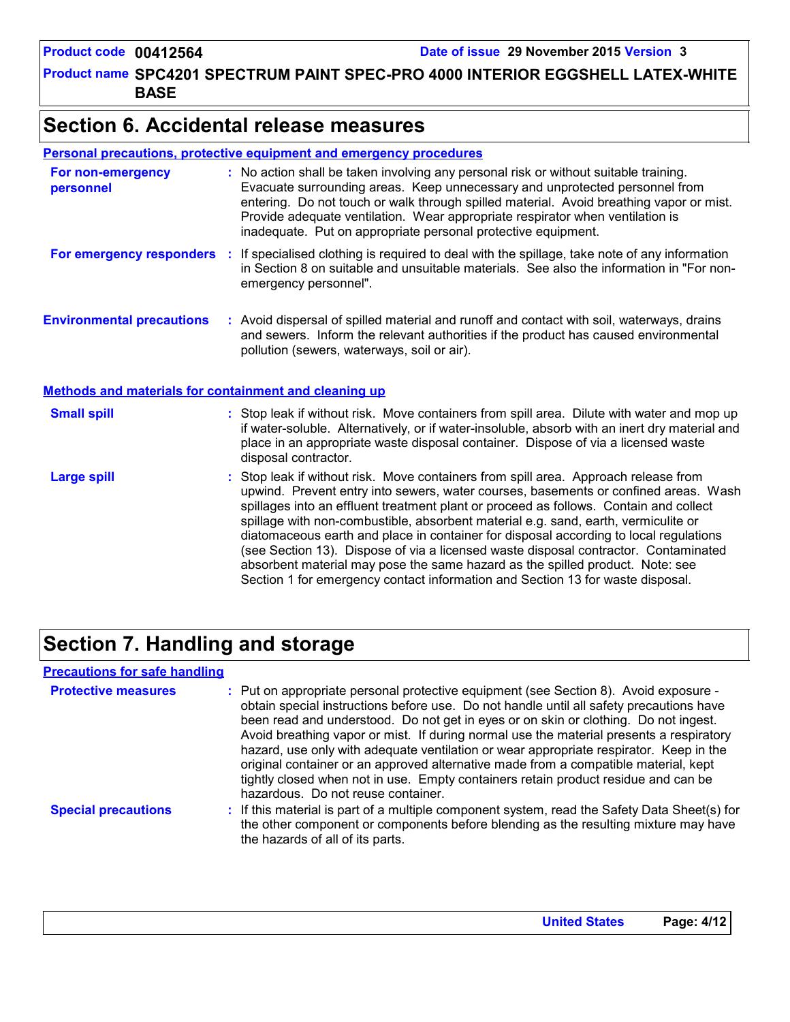Product name SPC4201 SPECTRUM PAINT SPEC-PRO 4000 INTERIOR EGGSHELL LATEX-WHITE | **BASE**

## **Section 6. Accidental release measures**

#### **Personal precautions, protective equipment and emergency procedures**

| For non-emergency<br>personnel                               | : No action shall be taken involving any personal risk or without suitable training.<br>Evacuate surrounding areas. Keep unnecessary and unprotected personnel from<br>entering. Do not touch or walk through spilled material. Avoid breathing vapor or mist.<br>Provide adequate ventilation. Wear appropriate respirator when ventilation is<br>inadequate. Put on appropriate personal protective equipment.                                                                                                                                                                                                                                                                                             |
|--------------------------------------------------------------|--------------------------------------------------------------------------------------------------------------------------------------------------------------------------------------------------------------------------------------------------------------------------------------------------------------------------------------------------------------------------------------------------------------------------------------------------------------------------------------------------------------------------------------------------------------------------------------------------------------------------------------------------------------------------------------------------------------|
| For emergency responders                                     | : If specialised clothing is required to deal with the spillage, take note of any information<br>in Section 8 on suitable and unsuitable materials. See also the information in "For non-<br>emergency personnel".                                                                                                                                                                                                                                                                                                                                                                                                                                                                                           |
| <b>Environmental precautions</b>                             | : Avoid dispersal of spilled material and runoff and contact with soil, waterways, drains<br>and sewers. Inform the relevant authorities if the product has caused environmental<br>pollution (sewers, waterways, soil or air).                                                                                                                                                                                                                                                                                                                                                                                                                                                                              |
| <b>Methods and materials for containment and cleaning up</b> |                                                                                                                                                                                                                                                                                                                                                                                                                                                                                                                                                                                                                                                                                                              |
| <b>Small spill</b>                                           | : Stop leak if without risk. Move containers from spill area. Dilute with water and mop up<br>if water-soluble. Alternatively, or if water-insoluble, absorb with an inert dry material and<br>place in an appropriate waste disposal container. Dispose of via a licensed waste<br>disposal contractor.                                                                                                                                                                                                                                                                                                                                                                                                     |
| <b>Large spill</b>                                           | : Stop leak if without risk. Move containers from spill area. Approach release from<br>upwind. Prevent entry into sewers, water courses, basements or confined areas. Wash<br>spillages into an effluent treatment plant or proceed as follows. Contain and collect<br>spillage with non-combustible, absorbent material e.g. sand, earth, vermiculite or<br>diatomaceous earth and place in container for disposal according to local regulations<br>(see Section 13). Dispose of via a licensed waste disposal contractor. Contaminated<br>absorbent material may pose the same hazard as the spilled product. Note: see<br>Section 1 for emergency contact information and Section 13 for waste disposal. |

## **Section 7. Handling and storage**

#### **Precautions for safe handling**

| <b>Protective measures</b> | : Put on appropriate personal protective equipment (see Section 8). Avoid exposure -<br>obtain special instructions before use. Do not handle until all safety precautions have<br>been read and understood. Do not get in eyes or on skin or clothing. Do not ingest.<br>Avoid breathing vapor or mist. If during normal use the material presents a respiratory<br>hazard, use only with adequate ventilation or wear appropriate respirator. Keep in the<br>original container or an approved alternative made from a compatible material, kept<br>tightly closed when not in use. Empty containers retain product residue and can be<br>hazardous. Do not reuse container. |
|----------------------------|--------------------------------------------------------------------------------------------------------------------------------------------------------------------------------------------------------------------------------------------------------------------------------------------------------------------------------------------------------------------------------------------------------------------------------------------------------------------------------------------------------------------------------------------------------------------------------------------------------------------------------------------------------------------------------|
| <b>Special precautions</b> | : If this material is part of a multiple component system, read the Safety Data Sheet(s) for<br>the other component or components before blending as the resulting mixture may have<br>the hazards of all of its parts.                                                                                                                                                                                                                                                                                                                                                                                                                                                        |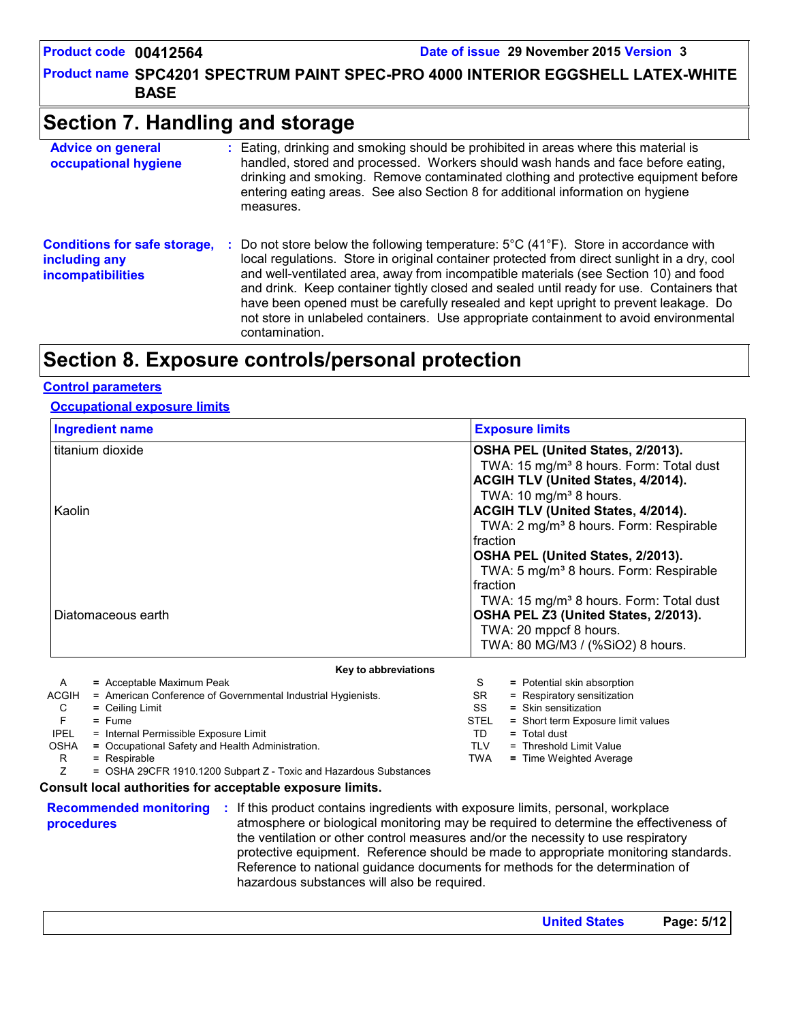Product name SPC4201 SPECTRUM PAINT SPEC-PRO 4000 INTERIOR EGGSHELL LATEX-WHITE | **BASE**

## **Section 7. Handling and storage**

| <b>Advice on general</b><br>occupational hygiene                                 | : Eating, drinking and smoking should be prohibited in areas where this material is<br>handled, stored and processed. Workers should wash hands and face before eating,<br>drinking and smoking. Remove contaminated clothing and protective equipment before<br>entering eating areas. See also Section 8 for additional information on hygiene<br>measures.                                                                                                                                                                                                                                         |
|----------------------------------------------------------------------------------|-------------------------------------------------------------------------------------------------------------------------------------------------------------------------------------------------------------------------------------------------------------------------------------------------------------------------------------------------------------------------------------------------------------------------------------------------------------------------------------------------------------------------------------------------------------------------------------------------------|
| <b>Conditions for safe storage,</b><br>including any<br><b>incompatibilities</b> | Do not store below the following temperature: $5^{\circ}$ C (41 <sup>o</sup> F). Store in accordance with<br>÷.<br>local regulations. Store in original container protected from direct sunlight in a dry, cool<br>and well-ventilated area, away from incompatible materials (see Section 10) and food<br>and drink. Keep container tightly closed and sealed until ready for use. Containers that<br>have been opened must be carefully resealed and kept upright to prevent leakage. Do<br>not store in unlabeled containers. Use appropriate containment to avoid environmental<br>contamination. |

## **Section 8. Exposure controls/personal protection**

#### **Control parameters**

#### **Occupational exposure limits**

| <b>Ingredient name</b>                                                                                         | <b>Exposure limits</b>                                                     |  |  |  |
|----------------------------------------------------------------------------------------------------------------|----------------------------------------------------------------------------|--|--|--|
| titanium dioxide                                                                                               | OSHA PEL (United States, 2/2013).                                          |  |  |  |
|                                                                                                                | TWA: 15 mg/m <sup>3</sup> 8 hours. Form: Total dust                        |  |  |  |
|                                                                                                                | ACGIH TLV (United States, 4/2014).                                         |  |  |  |
|                                                                                                                | TWA: 10 mg/m <sup>3</sup> 8 hours.                                         |  |  |  |
| Kaolin                                                                                                         | ACGIH TLV (United States, 4/2014).                                         |  |  |  |
|                                                                                                                | TWA: 2 mg/m <sup>3</sup> 8 hours. Form: Respirable                         |  |  |  |
|                                                                                                                | fraction                                                                   |  |  |  |
|                                                                                                                | OSHA PEL (United States, 2/2013).                                          |  |  |  |
|                                                                                                                | TWA: 5 mg/m <sup>3</sup> 8 hours. Form: Respirable                         |  |  |  |
|                                                                                                                | fraction                                                                   |  |  |  |
|                                                                                                                | TWA: 15 mg/m <sup>3</sup> 8 hours. Form: Total dust                        |  |  |  |
| Diatomaceous earth                                                                                             | OSHA PEL Z3 (United States, 2/2013).<br>TWA: 20 mppcf 8 hours.             |  |  |  |
|                                                                                                                |                                                                            |  |  |  |
|                                                                                                                | TWA: 80 MG/M3 / (%SiO2) 8 hours.                                           |  |  |  |
|                                                                                                                |                                                                            |  |  |  |
| Key to abbreviations                                                                                           |                                                                            |  |  |  |
| = Acceptable Maximum Peak<br>A                                                                                 | = Potential skin absorption<br>S                                           |  |  |  |
| <b>ACGIH</b><br>= American Conference of Governmental Industrial Hygienists.                                   | <b>SR</b><br>= Respiratory sensitization                                   |  |  |  |
| C<br>$=$ Ceiling Limit<br>F                                                                                    | $=$ Skin sensitization<br>SS                                               |  |  |  |
| $=$ Fume<br><b>IPEL</b><br>= Internal Permissible Exposure Limit                                               | <b>STEL</b><br>= Short term Exposure limit values<br>TD.<br>$=$ Total dust |  |  |  |
| <b>OSHA</b><br>= Occupational Safety and Health Administration.                                                | <b>TLV</b><br>= Threshold Limit Value                                      |  |  |  |
| = Respirable<br>R                                                                                              | <b>TWA</b><br>= Time Weighted Average                                      |  |  |  |
| Z<br>= OSHA 29CFR 1910.1200 Subpart Z - Toxic and Hazardous Substances                                         |                                                                            |  |  |  |
| Consult local authorities for acceptable exposure limits.                                                      |                                                                            |  |  |  |
| <b>Recommended monitoring : If this product contains ingredients with exposure limits, personal, workplace</b> |                                                                            |  |  |  |

**procedures**

**:** If this product contains ingredients with exposure limits, personal, workplace atmosphere or biological monitoring may be required to determine the effectiveness of the ventilation or other control measures and/or the necessity to use respiratory protective equipment. Reference should be made to appropriate monitoring standards. Reference to national guidance documents for methods for the determination of hazardous substances will also be required.

**United States Page: 5/12**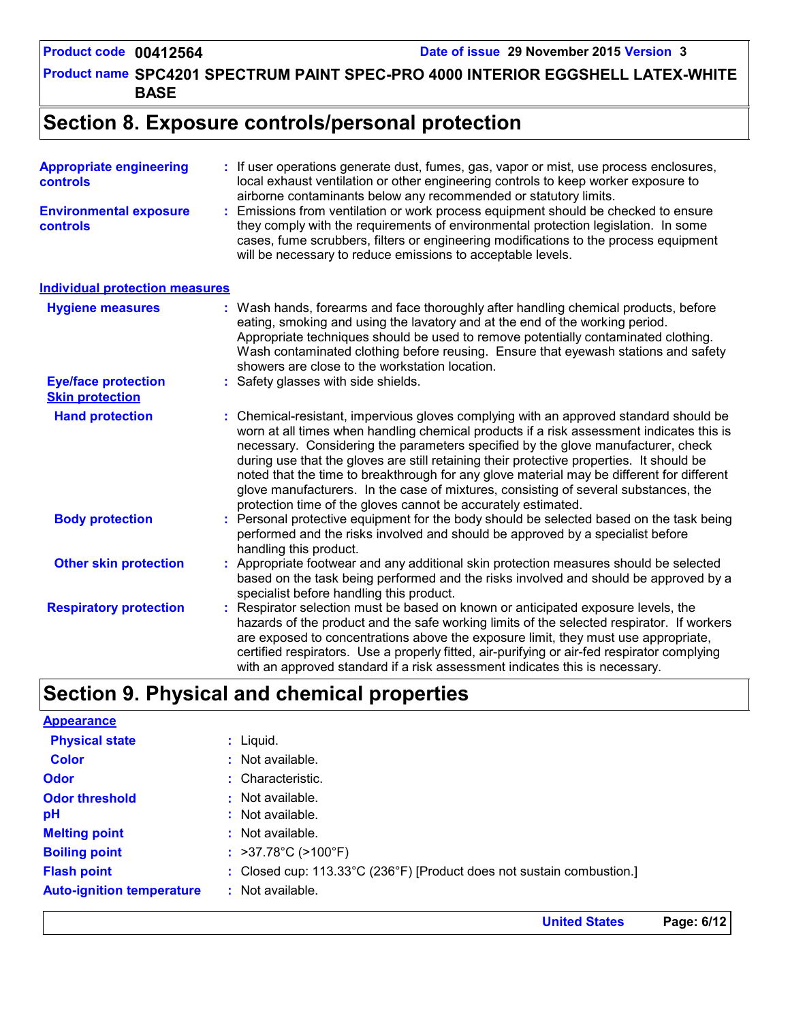Product name SPC4201 SPECTRUM PAINT SPEC-PRO 4000 INTERIOR EGGSHELL LATEX-WHITE | **BASE**

## **Section 8. Exposure controls/personal protection**

| <b>Appropriate engineering</b><br><b>controls</b>    | : If user operations generate dust, fumes, gas, vapor or mist, use process enclosures,<br>local exhaust ventilation or other engineering controls to keep worker exposure to<br>airborne contaminants below any recommended or statutory limits.                                                                                                                                                                                                                                                                                                                                                                     |
|------------------------------------------------------|----------------------------------------------------------------------------------------------------------------------------------------------------------------------------------------------------------------------------------------------------------------------------------------------------------------------------------------------------------------------------------------------------------------------------------------------------------------------------------------------------------------------------------------------------------------------------------------------------------------------|
| <b>Environmental exposure</b><br>controls            | Emissions from ventilation or work process equipment should be checked to ensure<br>they comply with the requirements of environmental protection legislation. In some<br>cases, fume scrubbers, filters or engineering modifications to the process equipment<br>will be necessary to reduce emissions to acceptable levels.                                                                                                                                                                                                                                                                                        |
| <b>Individual protection measures</b>                |                                                                                                                                                                                                                                                                                                                                                                                                                                                                                                                                                                                                                      |
| <b>Hygiene measures</b>                              | Wash hands, forearms and face thoroughly after handling chemical products, before<br>eating, smoking and using the lavatory and at the end of the working period.<br>Appropriate techniques should be used to remove potentially contaminated clothing.<br>Wash contaminated clothing before reusing. Ensure that eyewash stations and safety<br>showers are close to the workstation location.                                                                                                                                                                                                                      |
| <b>Eye/face protection</b><br><b>Skin protection</b> | Safety glasses with side shields.                                                                                                                                                                                                                                                                                                                                                                                                                                                                                                                                                                                    |
| <b>Hand protection</b>                               | Chemical-resistant, impervious gloves complying with an approved standard should be<br>worn at all times when handling chemical products if a risk assessment indicates this is<br>necessary. Considering the parameters specified by the glove manufacturer, check<br>during use that the gloves are still retaining their protective properties. It should be<br>noted that the time to breakthrough for any glove material may be different for different<br>glove manufacturers. In the case of mixtures, consisting of several substances, the<br>protection time of the gloves cannot be accurately estimated. |
| <b>Body protection</b>                               | Personal protective equipment for the body should be selected based on the task being<br>performed and the risks involved and should be approved by a specialist before<br>handling this product.                                                                                                                                                                                                                                                                                                                                                                                                                    |
| <b>Other skin protection</b>                         | Appropriate footwear and any additional skin protection measures should be selected<br>based on the task being performed and the risks involved and should be approved by a<br>specialist before handling this product.                                                                                                                                                                                                                                                                                                                                                                                              |
| <b>Respiratory protection</b>                        | Respirator selection must be based on known or anticipated exposure levels, the<br>hazards of the product and the safe working limits of the selected respirator. If workers<br>are exposed to concentrations above the exposure limit, they must use appropriate,<br>certified respirators. Use a properly fitted, air-purifying or air-fed respirator complying<br>with an approved standard if a risk assessment indicates this is necessary.                                                                                                                                                                     |

## **Section 9. Physical and chemical properties**

| <b>Appearance</b>                |                                                                       |
|----------------------------------|-----------------------------------------------------------------------|
| <b>Physical state</b>            | $:$ Liquid.                                                           |
| <b>Color</b>                     | $:$ Not available.                                                    |
| <b>Odor</b>                      | : Characteristic.                                                     |
| <b>Odor threshold</b>            | $\cdot$ Not available.                                                |
| рH                               | : Not available.                                                      |
| <b>Melting point</b>             | : Not available.                                                      |
| <b>Boiling point</b>             | : $>37.78^{\circ}$ C ( $>100^{\circ}$ F)                              |
| <b>Flash point</b>               | : Closed cup: 113.33°C (236°F) [Product does not sustain combustion.] |
| <b>Auto-ignition temperature</b> | : Not available.                                                      |

**United States Page: 6/12**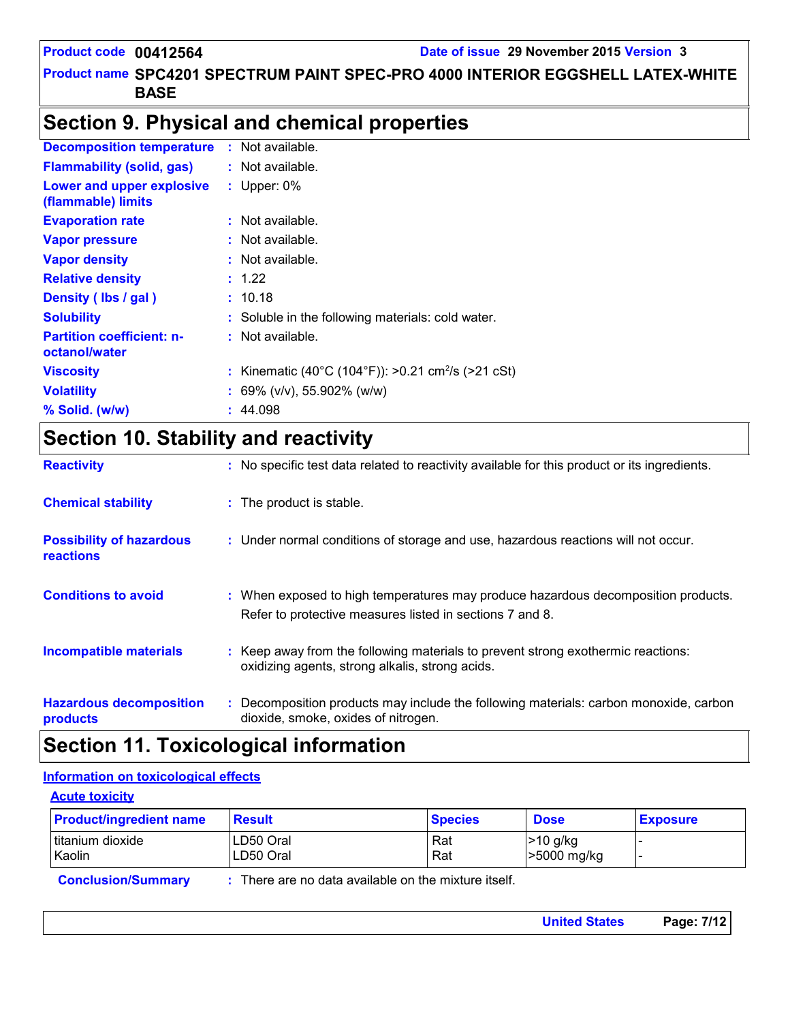## Product name SPC4201 SPECTRUM PAINT SPEC-PRO 4000 INTERIOR EGGSHELL LATEX-WHITE | **BASE**

## **Section 9. Physical and chemical properties**

| <b>Decomposition temperature</b>                  | Not available.                                                 |
|---------------------------------------------------|----------------------------------------------------------------|
| <b>Flammability (solid, gas)</b>                  | $:$ Not available.                                             |
| Lower and upper explosive<br>(flammable) limits   | : Upper: $0\%$                                                 |
| <b>Evaporation rate</b>                           | $:$ Not available.                                             |
| <b>Vapor pressure</b>                             | $:$ Not available.                                             |
| <b>Vapor density</b>                              | $:$ Not available.                                             |
| <b>Relative density</b>                           | : 1.22                                                         |
| Density (Ibs / gal)                               | : 10.18                                                        |
| <b>Solubility</b>                                 | : Soluble in the following materials: cold water.              |
| <b>Partition coefficient: n-</b><br>octanol/water | : Not available.                                               |
| <b>Viscosity</b>                                  | : Kinematic (40°C (104°F)): >0.21 cm <sup>2</sup> /s (>21 cSt) |
| <b>Volatility</b>                                 | $: 69\%$ (v/v), 55.902% (w/w)                                  |
| % Solid. (w/w)                                    | : 44.098                                                       |

## **Section 10. Stability and reactivity**

| <b>Reactivity</b>                            | : No specific test data related to reactivity available for this product or its ingredients.                                                  |
|----------------------------------------------|-----------------------------------------------------------------------------------------------------------------------------------------------|
| <b>Chemical stability</b>                    | : The product is stable.                                                                                                                      |
| <b>Possibility of hazardous</b><br>reactions | : Under normal conditions of storage and use, hazardous reactions will not occur.                                                             |
| <b>Conditions to avoid</b>                   | : When exposed to high temperatures may produce hazardous decomposition products.<br>Refer to protective measures listed in sections 7 and 8. |
| <b>Incompatible materials</b>                | : Keep away from the following materials to prevent strong exothermic reactions:<br>oxidizing agents, strong alkalis, strong acids.           |
| <b>Hazardous decomposition</b><br>products   | : Decomposition products may include the following materials: carbon monoxide, carbon<br>dioxide, smoke, oxides of nitrogen.                  |

## **Section 11. Toxicological information**

### **Information on toxicological effects**

| <b>Product/ingredient name</b> | <b>Result</b> | <b>Species</b> | <b>Dose</b> | <b>Exposure</b> |
|--------------------------------|---------------|----------------|-------------|-----------------|
| titanium dioxide               | LD50 Oral     | Rat            | $>10$ g/kg  |                 |
| Kaolin                         | LD50 Oral     | Rat            | >5000 mg/kg |                 |

|  | Page: 7/12<br><b>United States</b> |
|--|------------------------------------|
|--|------------------------------------|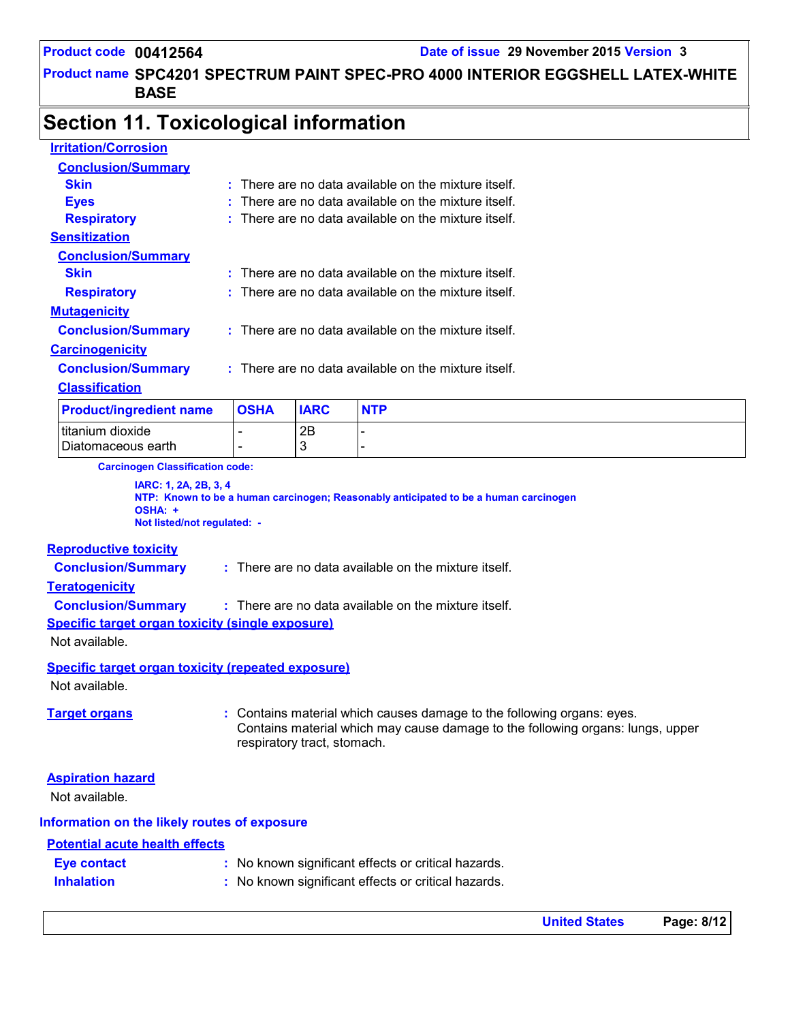### Product name SPC4201 SPECTRUM PAINT SPEC-PRO 4000 INTERIOR EGGSHELL LATEX-WHITE | **BASE**

## **Section 11. Toxicological information**

| <b>Product/ingredient name</b> |   | <b>OSHA</b> | <b>IARC</b> | <b>NTP</b>                                             |
|--------------------------------|---|-------------|-------------|--------------------------------------------------------|
| <b>Classification</b>          |   |             |             |                                                        |
| <b>Conclusion/Summary</b>      |   |             |             | There are no data available on the mixture itself.     |
| <b>Carcinogenicity</b>         |   |             |             |                                                        |
| <b>Conclusion/Summary</b>      |   |             |             | $:$ There are no data available on the mixture itself. |
| <b>Mutagenicity</b>            |   |             |             |                                                        |
| <b>Respiratory</b>             |   |             |             | $:$ There are no data available on the mixture itself. |
| Skin                           |   |             |             | There are no data available on the mixture itself.     |
| <b>Conclusion/Summary</b>      |   |             |             |                                                        |
| <b>Sensitization</b>           |   |             |             |                                                        |
| <b>Respiratory</b>             |   |             |             | There are no data available on the mixture itself.     |
| <b>Eyes</b>                    |   |             |             | There are no data available on the mixture itself.     |
| Skin                           | ÷ |             |             | There are no data available on the mixture itself.     |
| <b>Conclusion/Summary</b>      |   |             |             |                                                        |
| <b>Irritation/Corrosion</b>    |   |             |             |                                                        |

Diatomaceous earth T- 13

**Carcinogen Classification code:**

 $\frac{1}{2B}$  -  $\frac{1}{2B}$  -  $\frac{1}{2B}$ 

**IARC: 1, 2A, 2B, 3, 4 NTP: Known to be a human carcinogen; Reasonably anticipated to be a human carcinogen OSHA: + Not listed/not regulated: -**

#### **Reproductive toxicity**

**Conclusion/Summary :** : There are no data available on the mixture itself.

#### **Teratogenicity**

**Conclusion/Summary :** There are no data available on the mixture itself.

**Specific target organ toxicity (single exposure)**

Not available.

#### **Specific target organ toxicity (repeated exposure)**

Not available.

**Target organs :** Contains material which causes damage to the following organs: eyes. Contains material which may cause damage to the following organs: lungs, upper respiratory tract, stomach.

#### **Aspiration hazard**

Not available.

#### **Information on the likely routes of exposure**

#### **Potential acute health effects**

| <b>Eye contact</b> | : No known significant effects or critical hazards. |
|--------------------|-----------------------------------------------------|
| <b>Inhalation</b>  | : No known significant effects or critical hazards. |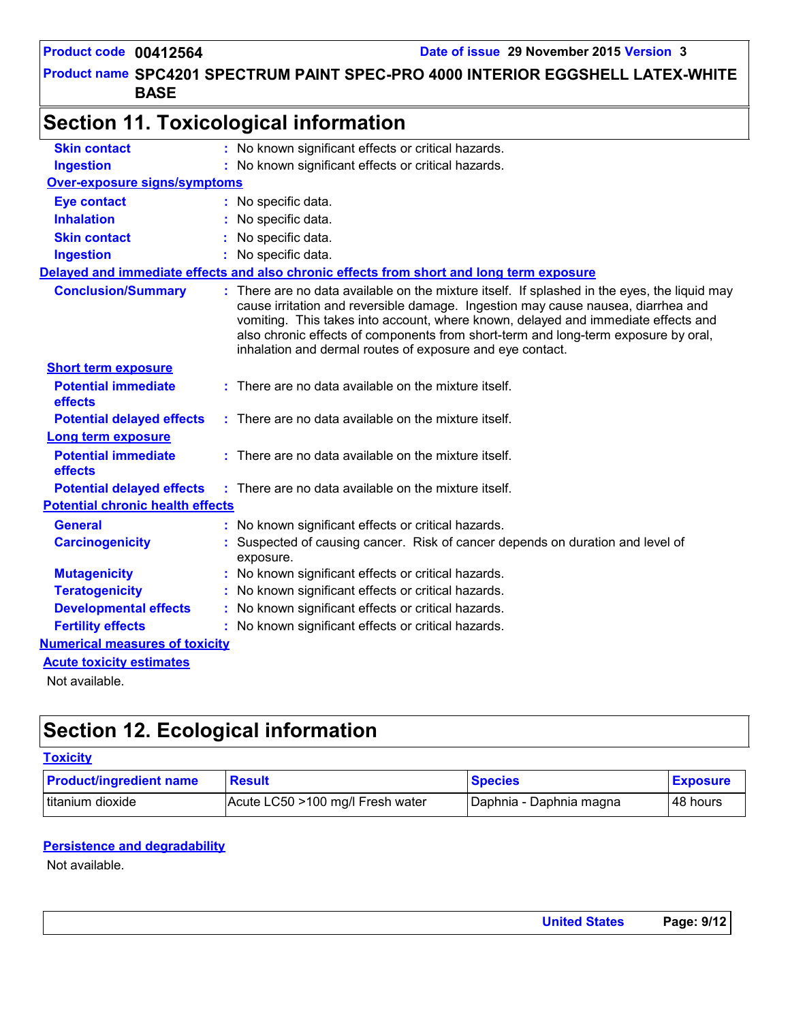## Product name SPC4201 SPECTRUM PAINT SPEC-PRO 4000 INTERIOR EGGSHELL LATEX-WHITE | **BASE**

| <b>Skin contact</b>                     | : No known significant effects or critical hazards.                                                                                                                                                                                                                                                                                                                                                                      |
|-----------------------------------------|--------------------------------------------------------------------------------------------------------------------------------------------------------------------------------------------------------------------------------------------------------------------------------------------------------------------------------------------------------------------------------------------------------------------------|
| <b>Ingestion</b>                        | : No known significant effects or critical hazards.                                                                                                                                                                                                                                                                                                                                                                      |
| Over-exposure signs/symptoms            |                                                                                                                                                                                                                                                                                                                                                                                                                          |
| <b>Eye contact</b>                      | : No specific data.                                                                                                                                                                                                                                                                                                                                                                                                      |
| <b>Inhalation</b>                       | No specific data.                                                                                                                                                                                                                                                                                                                                                                                                        |
| <b>Skin contact</b>                     | No specific data.                                                                                                                                                                                                                                                                                                                                                                                                        |
| <b>Ingestion</b>                        | : No specific data.                                                                                                                                                                                                                                                                                                                                                                                                      |
|                                         | Delayed and immediate effects and also chronic effects from short and long term exposure                                                                                                                                                                                                                                                                                                                                 |
| <b>Conclusion/Summary</b>               | : There are no data available on the mixture itself. If splashed in the eyes, the liquid may<br>cause irritation and reversible damage. Ingestion may cause nausea, diarrhea and<br>vomiting. This takes into account, where known, delayed and immediate effects and<br>also chronic effects of components from short-term and long-term exposure by oral,<br>inhalation and dermal routes of exposure and eye contact. |
| <b>Short term exposure</b>              |                                                                                                                                                                                                                                                                                                                                                                                                                          |
| <b>Potential immediate</b><br>effects   | : There are no data available on the mixture itself.                                                                                                                                                                                                                                                                                                                                                                     |
| <b>Potential delayed effects</b>        | $:$ There are no data available on the mixture itself.                                                                                                                                                                                                                                                                                                                                                                   |
| Long term exposure                      |                                                                                                                                                                                                                                                                                                                                                                                                                          |
| <b>Potential immediate</b><br>effects   | $:$ There are no data available on the mixture itself.                                                                                                                                                                                                                                                                                                                                                                   |
| <b>Potential delayed effects</b>        | $:$ There are no data available on the mixture itself.                                                                                                                                                                                                                                                                                                                                                                   |
| <b>Potential chronic health effects</b> |                                                                                                                                                                                                                                                                                                                                                                                                                          |
| <b>General</b>                          | : No known significant effects or critical hazards.                                                                                                                                                                                                                                                                                                                                                                      |
| <b>Carcinogenicity</b>                  | Suspected of causing cancer. Risk of cancer depends on duration and level of<br>exposure.                                                                                                                                                                                                                                                                                                                                |
| <b>Mutagenicity</b>                     | No known significant effects or critical hazards.                                                                                                                                                                                                                                                                                                                                                                        |
| <b>Teratogenicity</b>                   | No known significant effects or critical hazards.                                                                                                                                                                                                                                                                                                                                                                        |
| <b>Developmental effects</b>            | No known significant effects or critical hazards.                                                                                                                                                                                                                                                                                                                                                                        |
| <b>Fertility effects</b>                | : No known significant effects or critical hazards.                                                                                                                                                                                                                                                                                                                                                                      |
| <b>Numerical measures of toxicity</b>   |                                                                                                                                                                                                                                                                                                                                                                                                                          |
| <b>Acute toxicity estimates</b>         |                                                                                                                                                                                                                                                                                                                                                                                                                          |
| Not available.                          |                                                                                                                                                                                                                                                                                                                                                                                                                          |

## **Section 12. Ecological information**

#### **Toxicity**

| <b>Product/ingredient name</b> | <b>Result</b>                    | <b>Species</b>          | <b>Exposure</b> |
|--------------------------------|----------------------------------|-------------------------|-----------------|
| Ititanium dioxide              | Acute LC50 >100 mg/l Fresh water | Daphnia - Daphnia magna | l 48 hours      |

### **Persistence and degradability**

Not available.

| <b>United States</b> | Page: 9/12 |
|----------------------|------------|
|                      |            |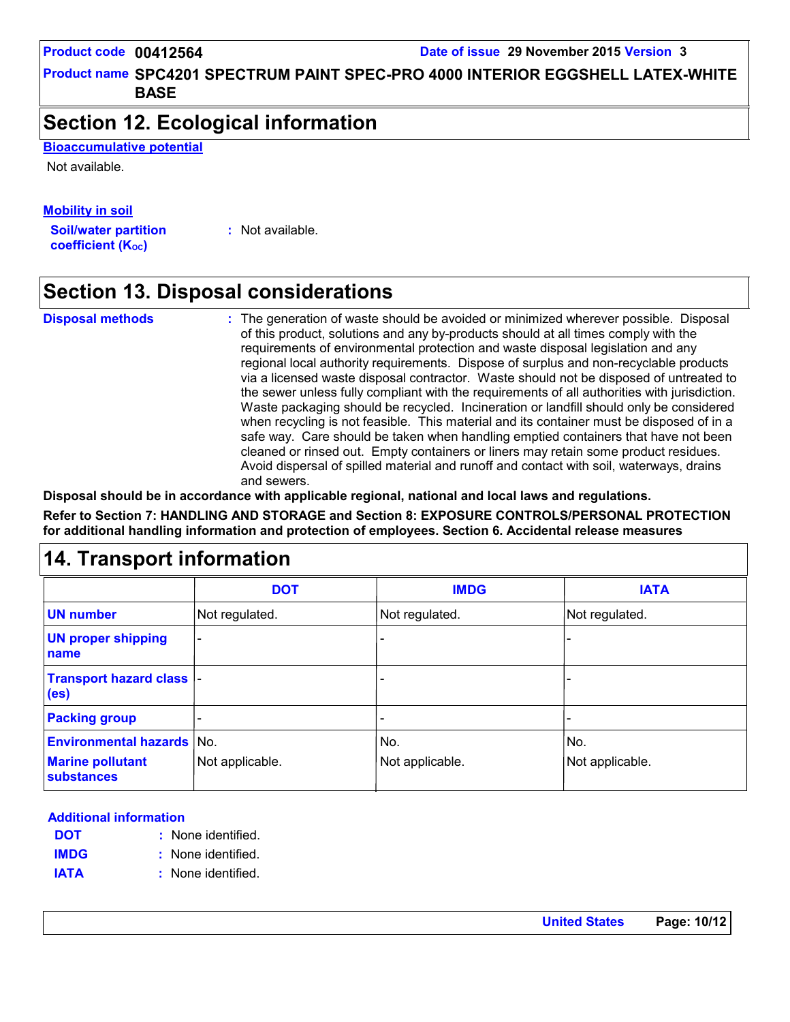Product name SPC4201 SPECTRUM PAINT SPEC-PRO 4000 INTERIOR EGGSHELL LATEX-WHITE | **BASE**

## **Section 12. Ecological information**

**Bioaccumulative potential**

Not available.

## **Mobility in soil**

**Soil/water partition coefficient (KOC)**

**:** Not available.

## **Section 13. Disposal considerations**

**Disposal methods :**

The generation of waste should be avoided or minimized wherever possible. Disposal of this product, solutions and any by-products should at all times comply with the requirements of environmental protection and waste disposal legislation and any regional local authority requirements. Dispose of surplus and non-recyclable products via a licensed waste disposal contractor. Waste should not be disposed of untreated to the sewer unless fully compliant with the requirements of all authorities with jurisdiction. Waste packaging should be recycled. Incineration or landfill should only be considered when recycling is not feasible. This material and its container must be disposed of in a safe way. Care should be taken when handling emptied containers that have not been cleaned or rinsed out. Empty containers or liners may retain some product residues. Avoid dispersal of spilled material and runoff and contact with soil, waterways, drains and sewers.

**Disposal should be in accordance with applicable regional, national and local laws and regulations.**

**Refer to Section 7: HANDLING AND STORAGE and Section 8: EXPOSURE CONTROLS/PERSONAL PROTECTION for additional handling information and protection of employees. Section 6. Accidental release measures**

## **14. Transport information**

|                                                       | <b>DOT</b>      | <b>IMDG</b>     | <b>IATA</b>     |
|-------------------------------------------------------|-----------------|-----------------|-----------------|
| <b>UN number</b>                                      | Not regulated.  | Not regulated.  | Not regulated.  |
| <b>UN proper shipping</b><br>name                     |                 |                 |                 |
| <b>Transport hazard class  -</b><br>(e <sub>s</sub> ) |                 |                 |                 |
| <b>Packing group</b>                                  |                 |                 |                 |
| <b>Environmental hazards No.</b>                      |                 | No.             | No.             |
| <b>Marine pollutant</b><br><b>substances</b>          | Not applicable. | Not applicable. | Not applicable. |

#### **Additional information**

- None identified. **: DOT**
- None identified. **: IMDG**
- **IATA :** None identified.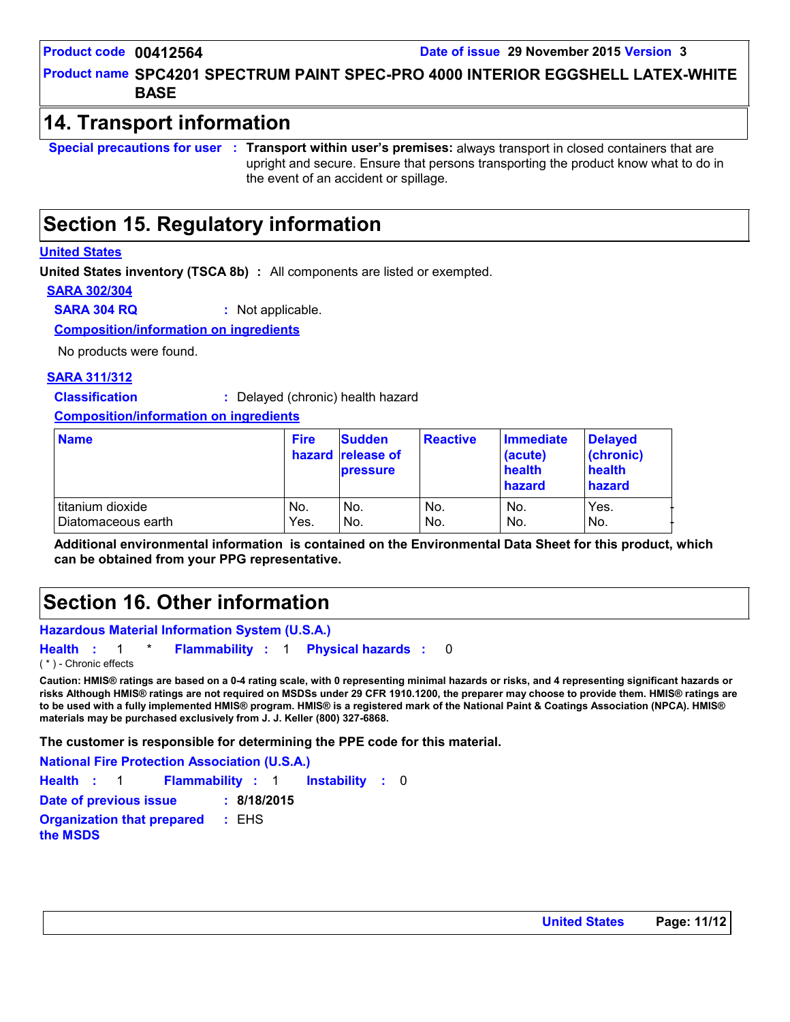Product name SPC4201 SPECTRUM PAINT SPEC-PRO 4000 INTERIOR EGGSHELL LATEX-WHITE | **BASE**

## **14. Transport information**

**Special precautions for user Transport within user's premises:** always transport in closed containers that are **:** upright and secure. Ensure that persons transporting the product know what to do in the event of an accident or spillage.

## **Section 15. Regulatory information**

#### **United States**

**United States inventory (TSCA 8b) :** All components are listed or exempted.

**SARA 302/304**

**SARA 304 RQ :** Not applicable.

**Composition/information on ingredients**

No products were found.

#### **SARA 311/312**

**Classification :** Delayed (chronic) health hazard

**Composition/information on ingredients**

| <b>Name</b>        | <b>Fire</b> | <b>Sudden</b><br>hazard release of<br><b>pressure</b> | <b>Reactive</b> | <b>Immediate</b><br>(acute)<br>health<br>hazard | <b>Delayed</b><br>(chronic)<br>health<br>hazard |
|--------------------|-------------|-------------------------------------------------------|-----------------|-------------------------------------------------|-------------------------------------------------|
| titanium dioxide   | No.         | No.                                                   | No.             | No.                                             | Yes.                                            |
| Diatomaceous earth | Yes.        | No.                                                   | No.             | No.                                             | IN <sub>o</sub>                                 |

**Additional environmental information is contained on the Environmental Data Sheet for this product, which can be obtained from your PPG representative.**

## **Section 16. Other information**

```
Hazardous Material Information System (U.S.A.)
```

```
Health : 1 * Flammability : 1 Physical hazards : 0
                                                      0
( * ) - Chronic effects
```
**Caution: HMIS® ratings are based on a 0-4 rating scale, with 0 representing minimal hazards or risks, and 4 representing significant hazards or risks Although HMIS® ratings are not required on MSDSs under 29 CFR 1910.1200, the preparer may choose to provide them. HMIS® ratings are to be used with a fully implemented HMIS® program. HMIS® is a registered mark of the National Paint & Coatings Association (NPCA). HMIS® materials may be purchased exclusively from J. J. Keller (800) 327-6868.**

**The customer is responsible for determining the PPE code for this material.**

**Instability** : 0 **National Fire Protection Association (U.S.A.) Health**: 1 **Flammability**: 1 **Instability**: 0 **Date of previous issue : 8/18/2015 Organization that prepared the MSDS :** EHS